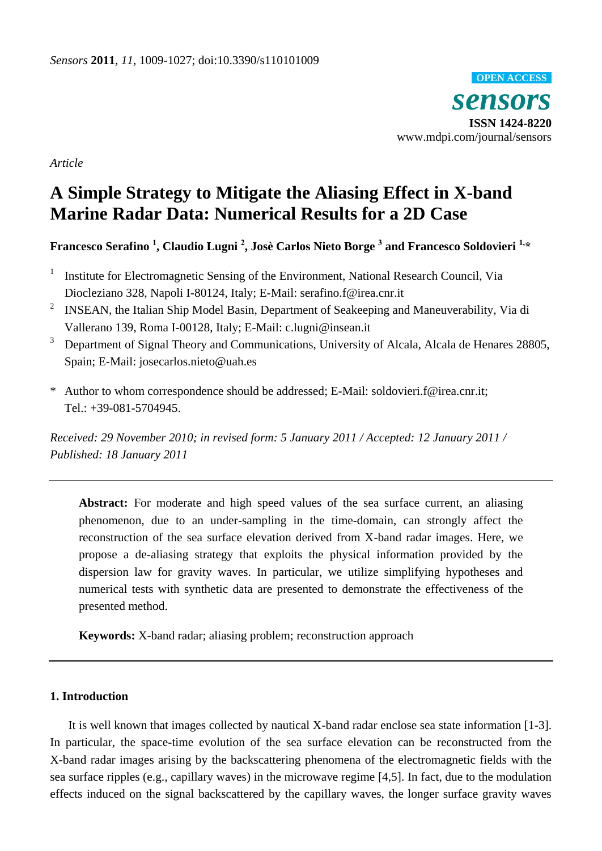*sensors* **ISSN 1424-8220** www.mdpi.com/journal/sensors **OPEN ACCESS**

*Article*

# **A Simple Strategy to Mitigate the Aliasing Effect in X-band Marine Radar Data: Numerical Results for a 2D Case**

# **Francesco Serafino <sup>1</sup> , Claudio Lugni <sup>2</sup> , JosèCarlos Nieto Borge <sup>3</sup> and Francesco Soldovieri 1,\***

- 1 Institute for Electromagnetic Sensing of the Environment, National Research Council, Via Diocleziano 328, Napoli I-80124, Italy; E-Mail: serafino.f@irea.cnr.it
- 2 INSEAN, the Italian Ship Model Basin, Department of Seakeeping and Maneuverability, Via di Vallerano 139, Roma I-00128, Italy; E-Mail: c.lugni@insean.it
- <sup>3</sup> Department of Signal Theory and Communications, University of Alcala, Alcala de Henares 28805, Spain; E-Mail: josecarlos.nieto@uah.es
- \* Author to whom correspondence should be addressed; E-Mail: soldovieri.f@irea.cnr.it; Tel.: +39-081-5704945.

*Received: 29 November 2010; in revised form: 5 January 2011 / Accepted: 12 January 2011 / Published: 18 January 2011*

**Abstract:** For moderate and high speed values of the sea surface current, an aliasing phenomenon, due to an under-sampling in the time-domain, can strongly affect the reconstruction of the sea surface elevation derived from X-band radar images. Here, we propose a de-aliasing strategy that exploits the physical information provided by the dispersion law for gravity waves. In particular, we utilize simplifying hypotheses and numerical tests with synthetic data are presented to demonstrate the effectiveness of the presented method.

**Keywords:** X-band radar; aliasing problem; reconstruction approach

# **1. Introduction**

It is well known that images collected by nautical X-band radar enclose sea state information [1-3]. In particular, the space-time evolution of the sea surface elevation can be reconstructed from the X-band radar images arising by the backscattering phenomena of the electromagnetic fields with the sea surface ripples (e.g., [capillary waves\)](http://en.wikipedia.org/wiki/Capillary_waves) in the microwave regime [4,5]. In fact, due to the modulation effects induced on the signal backscattered by the capillary waves, the longer surface gravity waves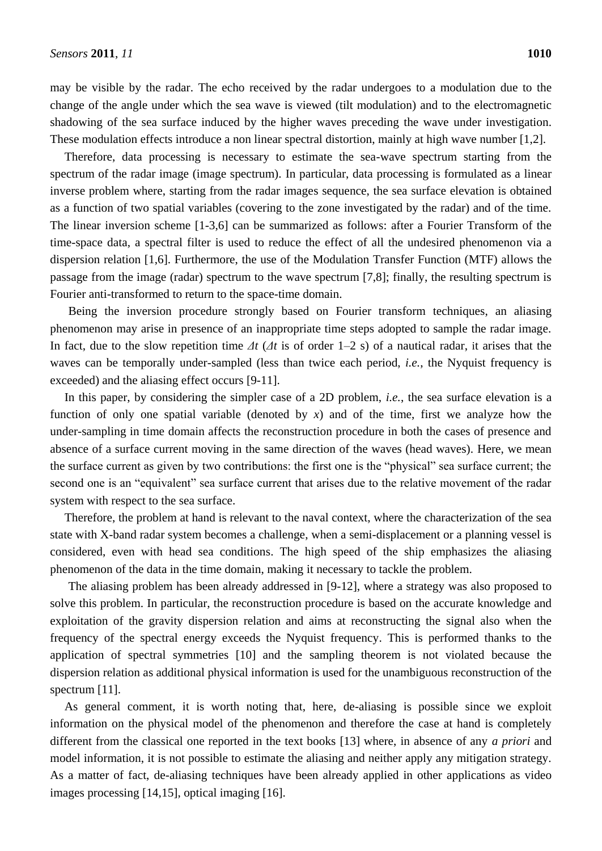may be visible by the radar. The echo received by the radar undergoes to a modulation due to the change of the angle under which the sea wave is viewed (tilt modulation) and to the electromagnetic shadowing of the sea surface induced by the higher waves preceding the wave under investigation. These modulation effects introduce a non linear spectral distortion, mainly at high wave number [1,2].

Therefore, data processing is necessary to estimate the sea-wave spectrum starting from the spectrum of the radar image (image spectrum). In particular, data processing is formulated as a linear inverse problem where, starting from the radar images sequence, the sea surface elevation is obtained as a function of two spatial variables (covering to the zone investigated by the radar) and of the time. The linear inversion scheme [1-3,6] can be summarized as follows: after a Fourier Transform of the time-space data, a spectral filter is used to reduce the effect of all the undesired phenomenon via a dispersion relation [1,6]. Furthermore, the use of the Modulation Transfer Function (MTF) allows the passage from the image (radar) spectrum to the wave spectrum [7,8]; finally, the resulting spectrum is Fourier anti-transformed to return to the space-time domain.

Being the inversion procedure strongly based on Fourier transform techniques, an aliasing phenomenon may arise in presence of an inappropriate time steps adopted to sample the radar image. In fact, due to the slow repetition time *Δt* (*Δt* is of order 1–2 s) of a nautical radar, it arises that the waves can be temporally under-sampled (less than twice each period, *i.e.*, the Nyquist frequency is exceeded) and the aliasing effect occurs [9-11].

In this paper, by considering the simpler case of a 2D problem, *i.e.*, the sea surface elevation is a function of only one spatial variable (denoted by  $x$ ) and of the time, first we analyze how the under-sampling in time domain affects the reconstruction procedure in both the cases of presence and absence of a surface current moving in the same direction of the waves (head waves). Here, we mean the surface current as given by two contributions: the first one is the "physical" sea surface current; the second one is an "equivalent" sea surface current that arises due to the relative movement of the radar system with respect to the sea surface.

Therefore, the problem at hand is relevant to the naval context, where the characterization of the sea state with X-band radar system becomes a challenge, when a semi-displacement or a planning vessel is considered, even with head sea conditions. The high speed of the ship emphasizes the aliasing phenomenon of the data in the time domain, making it necessary to tackle the problem.

The aliasing problem has been already addressed in [9-12], where a strategy was also proposed to solve this problem. In particular, the reconstruction procedure is based on the accurate knowledge and exploitation of the gravity dispersion relation and aims at reconstructing the signal also when the frequency of the spectral energy exceeds the Nyquist frequency. This is performed thanks to the application of spectral symmetries [10] and the sampling theorem is not violated because the dispersion relation as additional physical information is used for the unambiguous reconstruction of the spectrum [11].

As general comment, it is worth noting that, here, de-aliasing is possible since we exploit information on the physical model of the phenomenon and therefore the case at hand is completely different from the classical one reported in the text books [13] where, in absence of any *a priori* and model information, it is not possible to estimate the aliasing and neither apply any mitigation strategy. As a matter of fact, de-aliasing techniques have been already applied in other applications as video images processing [14,15], optical imaging [16].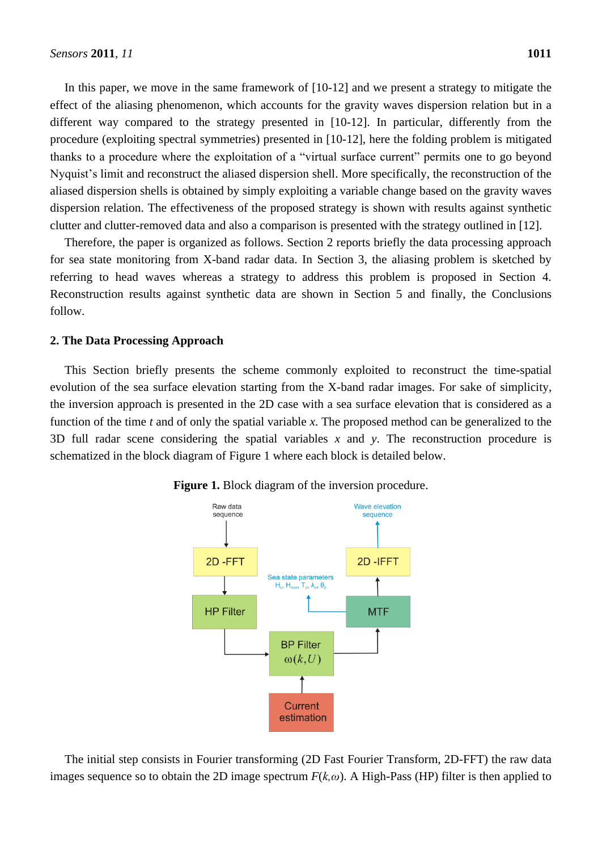In this paper, we move in the same framework of  $[10-12]$  and we present a strategy to mitigate the effect of the aliasing phenomenon, which accounts for the gravity waves dispersion relation but in a different way compared to the strategy presented in [10-12]. In particular, differently from the procedure (exploiting spectral symmetries) presented in [10-12], here the folding problem is mitigated thanks to a procedure where the exploitation of a "virtual surface current" permits one to go beyond Nyquist"s limit and reconstruct the aliased dispersion shell. More specifically, the reconstruction of the aliased dispersion shells is obtained by simply exploiting a variable change based on the gravity waves dispersion relation. The effectiveness of the proposed strategy is shown with results against synthetic clutter and clutter-removed data and also a comparison is presented with the strategy outlined in [12].

Therefore, the paper is organized as follows. Section 2 reports briefly the data processing approach for sea state monitoring from X-band radar data. In Section 3, the aliasing problem is sketched by referring to head waves whereas a strategy to address this problem is proposed in Section 4. Reconstruction results against synthetic data are shown in Section 5 and finally, the Conclusions follow.

### **2. The Data Processing Approach**

This Section briefly presents the scheme commonly exploited to reconstruct the time-spatial evolution of the sea surface elevation starting from the X-band radar images. For sake of simplicity, the inversion approach is presented in the 2D case with a sea surface elevation that is considered as a function of the time *t* and of only the spatial variable *x*. The proposed method can be generalized to the 3D full radar scene considering the spatial variables *x* and *y*. The reconstruction procedure is schematized in the block diagram of Figure 1 where each block is detailed below.



**Figure 1.** Block diagram of the inversion procedure.

The initial step consists in Fourier transforming (2D Fast Fourier Transform, 2D-FFT) the raw data images sequence so to obtain the 2D image spectrum  $F(k,\omega)$ . A High-Pass (HP) filter is then applied to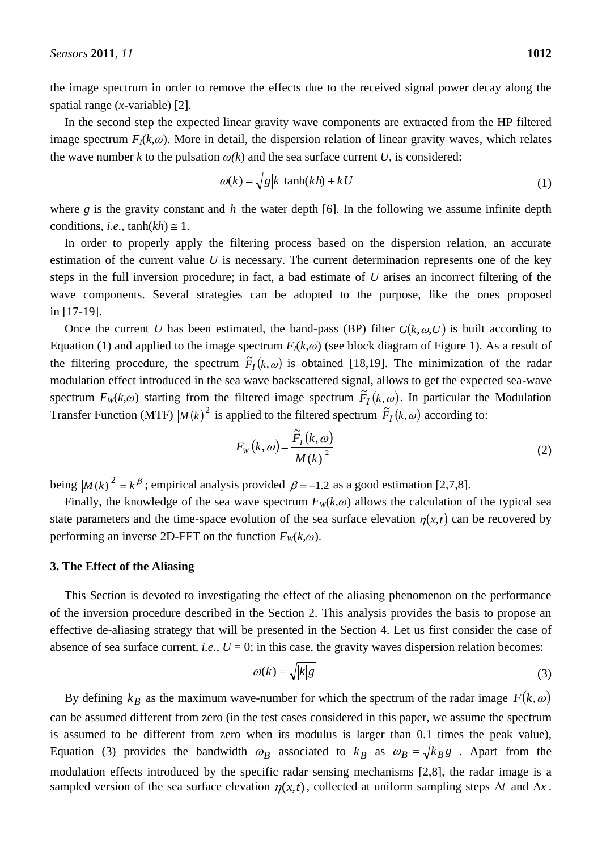the image spectrum in order to remove the effects due to the received signal power decay along the spatial range (*x*-variable) [2].

In the second step the expected linear gravity wave components are extracted from the HP filtered image spectrum  $F_I(k,\omega)$ . More in detail, the dispersion relation of linear gravity waves, which relates the wave number *k* to the pulsation  $\omega(k)$  and the sea surface current *U*, is considered:

$$
\omega(k) = \sqrt{g|k| \tanh(kh)} + kU
$$
 (1)

where  $g$  is the gravity constant and  $h$  the water depth [6]. In the following we assume infinite depth conditions, *i.e.*,  $tanh(kh) \approx 1$ .

In order to properly apply the filtering process based on the dispersion relation, an accurate estimation of the current value *U* is necessary. The current determination represents one of the key steps in the full inversion procedure; in fact, a bad estimate of *U* arises an incorrect filtering of the wave components. Several strategies can be adopted to the purpose, like the ones proposed in [17-19].

Once the current *U* has been estimated, the band-pass (BP) filter  $G(k, \omega, U)$  is built according to Equation (1) and applied to the image spectrum  $F_I(k,\omega)$  (see block diagram of Figure 1). As a result of the filtering procedure, the spectrum  $\tilde{F}_I(k,\omega)$  is obtained [18,19]. The minimization of the radar modulation effect introduced in the sea wave backscattered signal, allows to get the expected sea-wave spectrum  $F_W(k,\omega)$  starting from the filtered image spectrum  $\tilde{F}_I(k,\omega)$ . In particular the Modulation Transfer Function (MTF)  $|M(k)|^2$  is applied to the filtered spectrum  $F_I(k, \omega)$  according to:

$$
F_{W}(k,\omega) = \frac{\widetilde{F}_{I}(k,\omega)}{|M(k)|^{2}}
$$
\n(2)

being  $|M(k)|^2 = k^{\beta}$ ; empirical analysis provided  $\beta = -1.2$  as a good estimation [2,7,8].

Finally, the knowledge of the sea wave spectrum  $F_W(k,\omega)$  allows the calculation of the typical sea state parameters and the time-space evolution of the sea surface elevation  $\eta(x,t)$  can be recovered by performing an inverse 2D-FFT on the function  $F_W(k, \omega)$ .

#### **3. The Effect of the Aliasing**

This Section is devoted to investigating the effect of the aliasing phenomenon on the performance of the inversion procedure described in the Section 2. This analysis provides the basis to propose an effective de-aliasing strategy that will be presented in the Section 4. Let us first consider the case of absence of sea surface current, *i.e.*,  $U = 0$ ; in this case, the gravity waves dispersion relation becomes:

$$
\omega(k) = \sqrt{|k|g} \tag{3}
$$

By defining  $k_B$  as the maximum wave-number for which the spectrum of the radar image  $F(k, \omega)$ can be assumed different from zero (in the test cases considered in this paper, we assume the spectrum is assumed to be different from zero when its modulus is larger than 0.1 times the peak value), Equation (3) provides the bandwidth  $\omega_B$  associated to  $k_B$  as  $\omega_B = \sqrt{k_B g}$ . Apart from the modulation effects introduced by the specific radar sensing mechanisms [2,8], the radar image is a sampled version of the sea surface elevation  $\eta(x,t)$ , collected at uniform sampling steps  $\Delta t$  and  $\Delta x$ .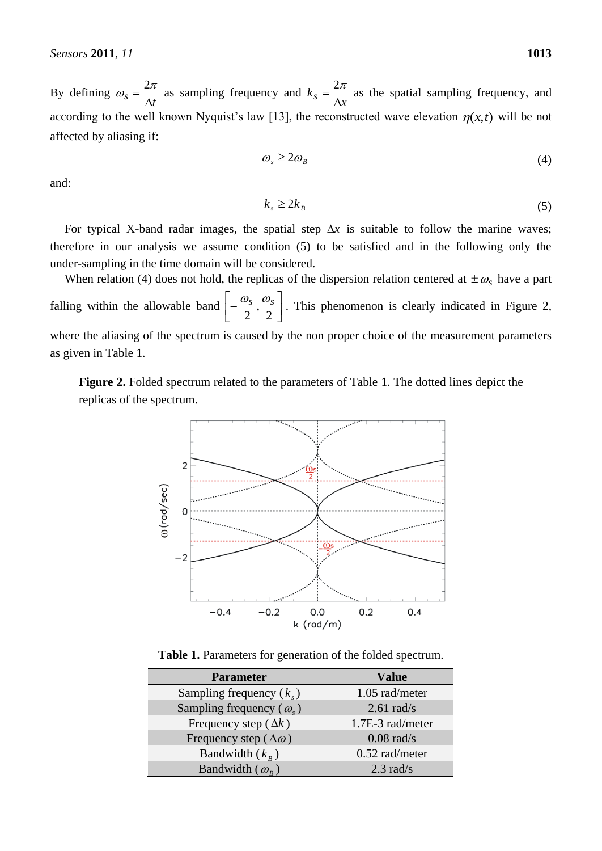By defining  $t_s = \frac{1}{\Delta t}$  $\omega_s = \frac{2\pi}{a}$  as sampling frequency and  $k_s = \frac{2\pi}{\Delta x}$  $=\frac{2\pi}{4}$  as the spatial sampling frequency, and according to the well known Nyquist's law [13], the reconstructed wave elevation  $\eta(x,t)$  will be not affected by aliasing if:

$$
\omega_s \ge 2\omega_B \tag{4}
$$

and:

$$
k_s \ge 2k_B \tag{5}
$$

For typical X-band radar images, the spatial step  $\Delta x$  is suitable to follow the marine waves; therefore in our analysis we assume condition (5) to be satisfied and in the following only the under-sampling in the time domain will be considered.

When relation (4) does not hold, the replicas of the dispersion relation centered at  $\pm \omega_s$  have a part falling within the allowable band  $\left[-\frac{\omega_s}{2}, \frac{\omega_s}{2}\right]$  $\overline{\phantom{a}}$  $\overline{\phantom{a}}$  $\vert$  -2 , 2  $\frac{\omega_s}{\sigma}$ ,  $\frac{\omega_s}{\sigma}$ . This phenomenon is clearly indicated in Figure 2, where the aliasing of the spectrum is caused by the non proper choice of the measurement parameters as given in Table 1.

**Figure 2.** Folded spectrum related to the parameters of Table 1. The dotted lines depict the replicas of the spectrum.



**Table 1.** Parameters for generation of the folded spectrum.

| <b>Parameter</b>                      | <b>Value</b>     |
|---------------------------------------|------------------|
| Sampling frequency $(k_{\gamma})$     | 1.05 rad/meter   |
| Sampling frequency $(\omega_{\rm s})$ | $2.61$ rad/s     |
| Frequency step ( $\Delta k$ )         | 1.7E-3 rad/meter |
| Frequency step ( $\Delta\omega$ )     | $0.08$ rad/s     |
| Bandwidth $(k_{R})$                   | $0.52$ rad/meter |
| Bandwidth $(\omega_{R})$              | $2.3$ rad/s      |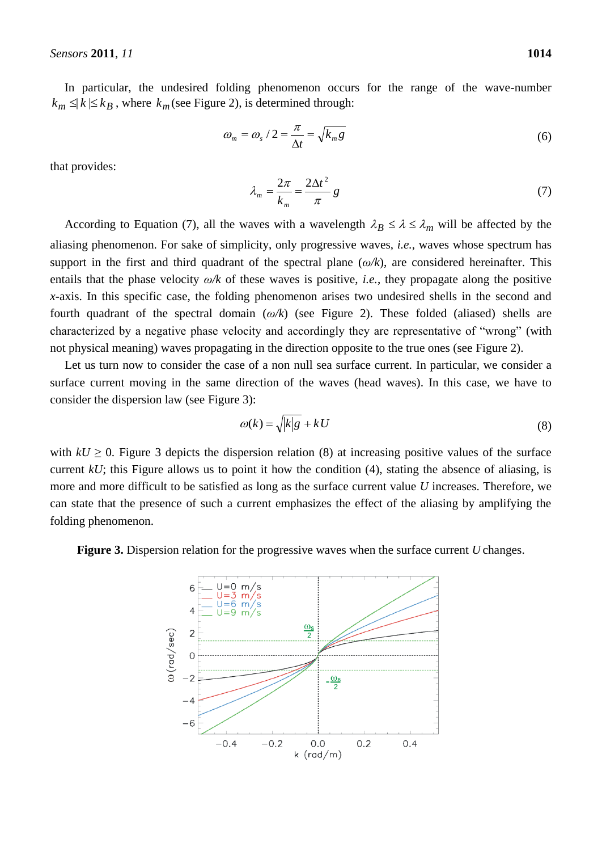In particular, the undesired folding phenomenon occurs for the range of the wave-number  $k_m \leq k \leq k_B$ , where  $k_m$  (see Figure 2), is determined through:

$$
\omega_m = \omega_s / 2 = \frac{\pi}{\Delta t} = \sqrt{k_m g} \tag{6}
$$

that provides:

$$
\lambda_m = \frac{2\pi}{k_m} = \frac{2\Delta t^2}{\pi} g \tag{7}
$$

According to Equation (7), all the waves with a wavelength  $\lambda_B \le \lambda \le \lambda_m$  will be affected by the aliasing phenomenon. For sake of simplicity, only progressive waves, *i.e.*, waves whose spectrum has support in the first and third quadrant of the spectral plane (*ω/k*), are considered hereinafter. This entails that the phase velocity *ω/k* of these waves is positive, *i.e.*, they propagate along the positive *x*-axis. In this specific case, the folding phenomenon arises two undesired shells in the second and fourth quadrant of the spectral domain (*ω/k*) (see Figure 2). These folded (aliased) shells are characterized by a negative phase velocity and accordingly they are representative of "wrong" (with not physical meaning) waves propagating in the direction opposite to the true ones (see Figure 2).

Let us turn now to consider the case of a non null sea surface current. In particular, we consider a surface current moving in the same direction of the waves (head waves). In this case, we have to consider the dispersion law (see Figure 3):

$$
\omega(k) = \sqrt{|k|g} + kU\tag{8}
$$

with  $kU \geq 0$ . Figure 3 depicts the dispersion relation (8) at increasing positive values of the surface current *kU*; this Figure allows us to point it how the condition (4), stating the absence of aliasing, is more and more difficult to be satisfied as long as the surface current value *U* increases. Therefore, we can state that the presence of such a current emphasizes the effect of the aliasing by amplifying the folding phenomenon.

**Figure 3.** Dispersion relation for the progressive waves when the surface current *U* changes.

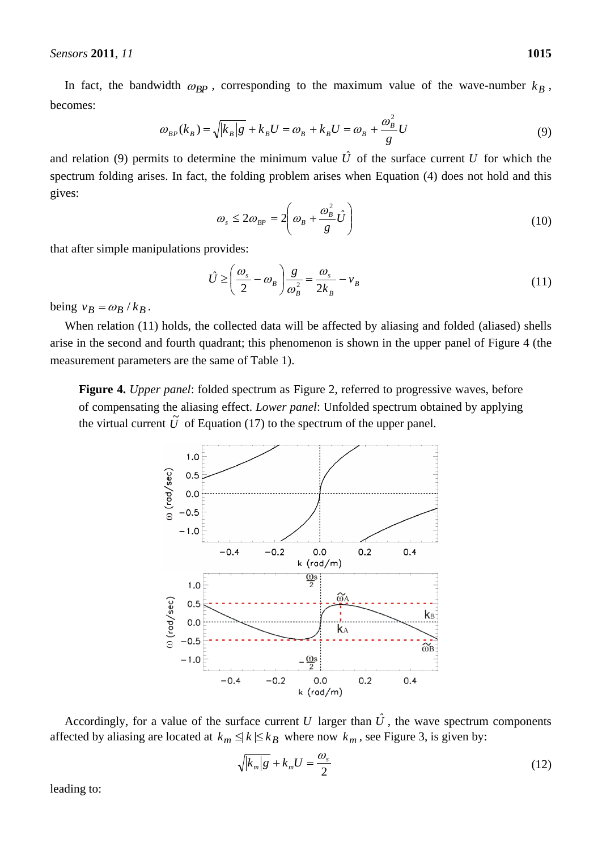In fact, the bandwidth  $\omega_{BP}$ , corresponding to the maximum value of the wave-number  $k_B$ , becomes:

$$
\omega_{BP}(k_B) = \sqrt{|k_B|g} + k_B U = \omega_B + k_B U = \omega_B + \frac{\omega_B^2}{g} U
$$
\n(9)

and relation (9) permits to determine the minimum value  $\hat{U}$  of the surface current U for which the spectrum folding arises. In fact, the folding problem arises when Equation (4) does not hold and this gives:

$$
\omega_s \le 2\omega_{BP} = 2\left(\omega_B + \frac{\omega_B^2}{g}\hat{U}\right)
$$
\n(10)

that after simple manipulations provides:

$$
\hat{U} \ge \left(\frac{\omega_s}{2} - \omega_B\right) \frac{g}{\omega_B^2} = \frac{\omega_s}{2k_B} - \nu_B \tag{11}
$$

being  $v_B = \omega_B / k_B$ .

When relation (11) holds, the collected data will be affected by aliasing and folded (aliased) shells arise in the second and fourth quadrant; this phenomenon is shown in the upper panel of Figure 4 (the measurement parameters are the same of Table 1).

**Figure 4.** *Upper panel*: folded spectrum as Figure 2, referred to progressive waves, before of compensating the aliasing effect. *Lower panel*: Unfolded spectrum obtained by applying the virtual current  $\tilde{U}$  of Equation (17) to the spectrum of the upper panel.



Accordingly, for a value of the surface current U larger than  $\hat{U}$ , the wave spectrum components affected by aliasing are located at  $k_m \leq k \leq k_B$  where now  $k_m$ , see Figure 3, is given by:

$$
\sqrt{|k_m|g} + k_m U = \frac{\omega_s}{2} \tag{12}
$$

leading to: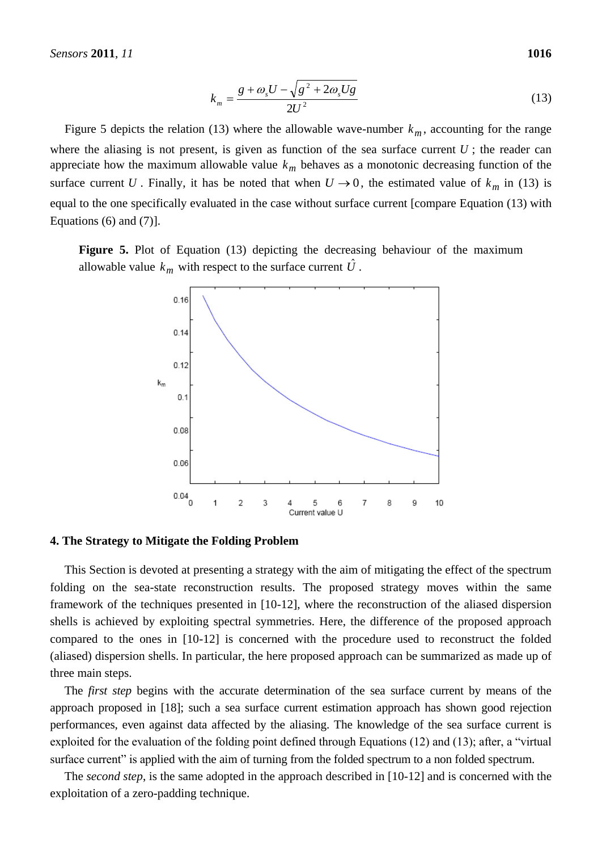$$
k_m = \frac{g + \omega_s U - \sqrt{g^2 + 2\omega_s U g}}{2U^2}
$$
 (13)

Figure 5 depicts the relation (13) where the allowable wave-number  $k_m$ , accounting for the range where the aliasing is not present, is given as function of the sea surface current  $U$ ; the reader can appreciate how the maximum allowable value *km* behaves as a monotonic decreasing function of the surface current U. Finally, it has be noted that when  $U \rightarrow 0$ , the estimated value of  $k_m$  in (13) is equal to the one specifically evaluated in the case without surface current [compare Equation (13) with Equations  $(6)$  and  $(7)$ ].

**Figure 5.** Plot of Equation (13) depicting the decreasing behaviour of the maximum allowable value  $k_m$  with respect to the surface current  $\hat{U}$ .



#### **4. The Strategy to Mitigate the Folding Problem**

This Section is devoted at presenting a strategy with the aim of mitigating the effect of the spectrum folding on the sea-state reconstruction results. The proposed strategy moves within the same framework of the techniques presented in [10-12], where the reconstruction of the aliased dispersion shells is achieved by exploiting spectral symmetries. Here, the difference of the proposed approach compared to the ones in [10-12] is concerned with the procedure used to reconstruct the folded (aliased) dispersion shells. In particular, the here proposed approach can be summarized as made up of three main steps.

The *first step* begins with the accurate determination of the sea surface current by means of the approach proposed in [18]; such a sea surface current estimation approach has shown good rejection performances, even against data affected by the aliasing. The knowledge of the sea surface current is exploited for the evaluation of the folding point defined through Equations (12) and (13); after, a "virtual surface current" is applied with the aim of turning from the folded spectrum to a non folded spectrum.

The *second step*, is the same adopted in the approach described in [10-12] and is concerned with the exploitation of a zero-padding technique.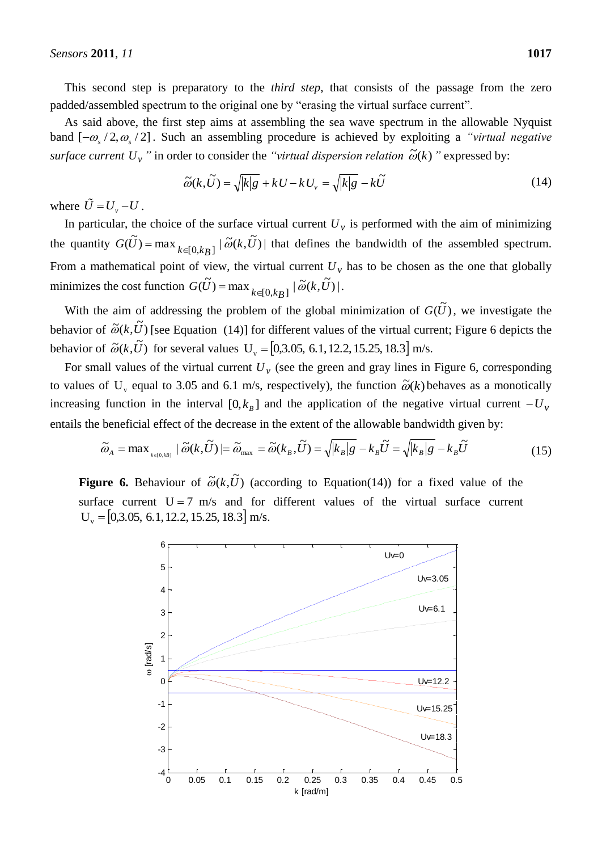This second step is preparatory to the *third step*, that consists of the passage from the zero padded/assembled spectrum to the original one by "erasing the virtual surface current".

As said above, the first step aims at assembling the sea wave spectrum in the allowable Nyquist band  $[-\omega_s/2, \omega_s/2]$ . Such an assembling procedure is achieved by exploiting a *"virtual negative*" *surface current*  $U_{\nu}$  *"* in order to consider the *"virtual dispersion relation*  $\tilde{\omega}(k)$  *"* expressed by:

$$
\widetilde{\omega}(k,\widetilde{U}) = \sqrt{|k|g} + kU - kU_{\nu} = \sqrt{|k|g} - k\widetilde{U}
$$
\n(14)

where  $\ddot{U} = U_y - U$ .

In particular, the choice of the surface virtual current  $U_{\nu}$  is performed with the aim of minimizing the quantity  $G(\tilde{U}) = \max_{k \in [0,k]} |\tilde{\omega}(k, \tilde{U})|$  that defines the bandwidth of the assembled spectrum. From a mathematical point of view, the virtual current  $U_{\nu}$  has to be chosen as the one that globally minimizes the cost function  $G(\tilde{U}) = \max_{k \in [0,k_B]} |\tilde{\omega}(k, \tilde{U})|$ .

With the aim of addressing the problem of the global minimization of  $G(\tilde{U})$ , we investigate the behavior of  $\tilde{\omega}(k, \tilde{U})$  [see Equation (14)] for different values of the virtual current; Figure 6 depicts the behavior of  $\tilde{\omega}(k, \tilde{U})$  for several values U<sub>v</sub> = [0,3.05, 6.1, 12.2, 15.25, 18.3] m/s.

For small values of the virtual current  $U_{\nu}$  (see the green and gray lines in Figure 6, corresponding to values of U<sub>y</sub> equal to 3.05 and 6.1 m/s, respectively), the function  $\tilde{\omega}(k)$  behaves as a monotically increasing function in the interval  $[0, k_B]$  and the application of the negative virtual current  $-U_\nu$ entails the beneficial effect of the decrease in the extent of the allowable bandwidth given by:

$$
\widetilde{\omega}_A = \max_{k \in [0,kB]} |\widetilde{\omega}(k,\widetilde{U})| = \widetilde{\omega}_{\max} = \widetilde{\omega}(k_B,\widetilde{U}) = \sqrt{|k_B|g} - k_B \widetilde{U} = \sqrt{|k_B|g} - k_B \widetilde{U}
$$
\n(15)

**Figure 6.** Behaviour of  $\tilde{\omega}(k,\tilde{U})$  (according to Equation(14)) for a fixed value of the surface current  $U = 7$  m/s and for different values of the virtual surface current  $U_v = [0,3.05, 6.1, 12.2, 15.25, 18.3]$  m/s.

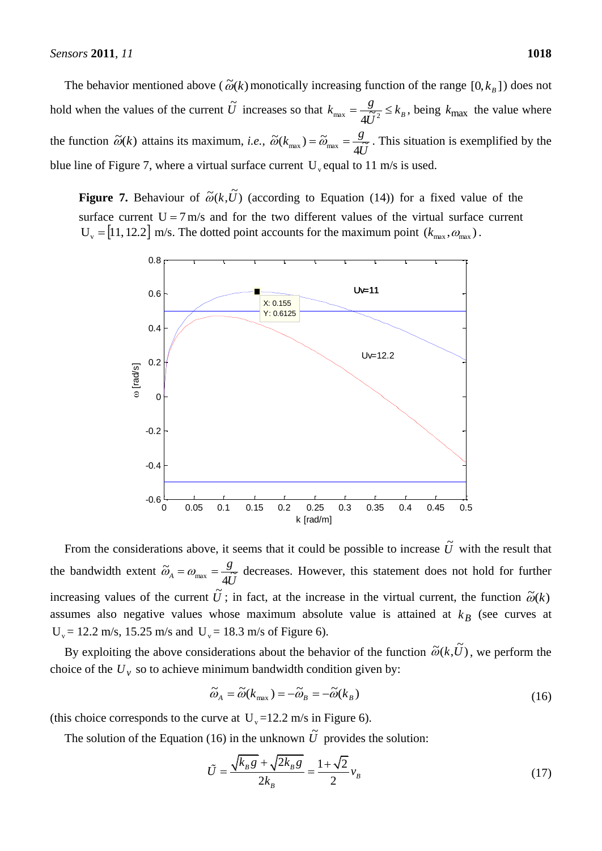The behavior mentioned above ( $\tilde{\omega}(k)$  monotically increasing function of the range  $[0, k_B]$ ) does not hold when the values of the current  $\tilde{U}$  increases so that  $k_{\text{max}} = \frac{g}{4\tilde{U}^2} \leq k_B$ *U*  $k_{\text{max}} = \frac{g}{4\widetilde{U}^2} \leq$ , being  $k_{\text{max}}$  the value where the function  $\tilde{\omega}(k)$  attains its maximum, *i.e.*, *U*  $k_{\text{max}}$ ) =  $\tilde{\omega}_{\text{max}} = \frac{g}{4\tilde{U}}$  $\tilde{\omega}(k_{\text{max}}) = \tilde{\omega}_{\text{max}} = \frac{g}{4\tilde{U}}$ . This situation is exemplified by the blue line of Figure 7, where a virtual surface current  $U_{\nu}$  equal to 11 m/s is used.

**Figure 7.** Behaviour of  $\tilde{\omega}(k,\tilde{U})$  (according to Equation (14)) for a fixed value of the surface current  $U = 7$  m/s and for the two different values of the virtual surface current  $U_{v} = [11, 12.2]$  m/s. The dotted point accounts for the maximum point  $(k_{\text{max}}, \omega_{\text{max}})$ .



From the considerations above, it seems that it could be possible to increase  $\tilde{U}$  with the result that the bandwidth extent *U g*  $\tilde{\omega}_A = \omega_{\text{max}} = \frac{g}{4\tilde{U}}$  decreases. However, this statement does not hold for further increasing values of the current  $\tilde{U}$ ; in fact, at the increase in the virtual current, the function  $\tilde{\omega}(k)$ assumes also negative values whose maximum absolute value is attained at  $k_B$  (see curves at  $U_v = 12.2$  m/s, 15.25 m/s and  $U_v = 18.3$  m/s of Figure 6).

By exploiting the above considerations about the behavior of the function  $\tilde{\omega}(k,\tilde{U})$ , we perform the choice of the  $U_y$  so to achieve minimum bandwidth condition given by:

$$
\widetilde{\omega}_A = \widetilde{\omega}(k_{\text{max}}) = -\widetilde{\omega}_B = -\widetilde{\omega}(k_B)
$$
\n(16)

(this choice corresponds to the curve at  $U_y = 12.2$  m/s in Figure 6).

The solution of the Equation (16) in the unknown  $\tilde{U}$  provides the solution:

$$
\tilde{U} = \frac{\sqrt{k_B g} + \sqrt{2k_B g}}{2k_B} = \frac{1 + \sqrt{2}}{2} v_B
$$
\n(17)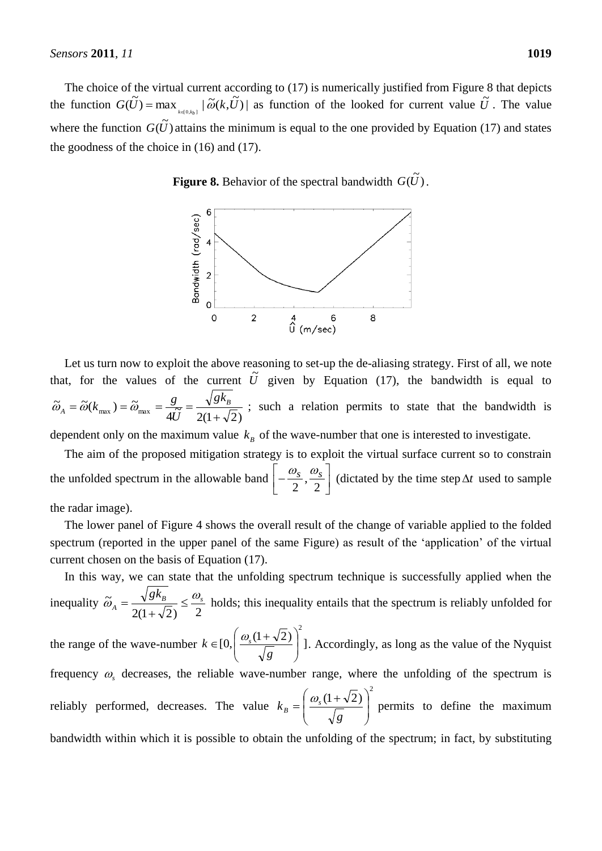The choice of the virtual current according to (17) is numerically justified from Figure 8 that depicts the function  $G(\tilde{U}) = \max_{k \in [0,k_b]} |\tilde{\omega}(k, \tilde{U})|$  as function of the looked for current value  $\tilde{U}$ . The value where the function  $G(\tilde{U})$  attains the minimum is equal to the one provided by Equation (17) and states the goodness of the choice in (16) and (17).

**Figure 8.** Behavior of the spectral bandwidth  $G(\tilde{U})$ .



Let us turn now to exploit the above reasoning to set-up the de-aliasing strategy. First of all, we note that, for the values of the current  $\tilde{U}$  given by Equation (17), the bandwidth is equal to  $\frac{8}{4\tilde{U}} = \frac{16}{2(1+\sqrt{2})}$  $\widetilde{\omega}_A = \widetilde{\omega}(k_{\rm max}) = \widetilde{\omega}_{\rm max} = \frac{g}{4\widetilde{U}} = \frac{\sqrt{g}}{2(1+\widetilde{u})^2}$  $=\widetilde{\omega}(k_{\max})=\widetilde{\omega}_{\max}=\frac{g}{\sqrt{2}}=\frac{\sqrt{8}N_B}{\sqrt{2}}$ *A gk U*  $\tilde{\omega}_A = \tilde{\omega}(k_{\text{max}}) = \tilde{\omega}_{\text{max}} = \frac{g}{\tilde{\omega}^2} = \frac{\sqrt{g k_B}}{\sqrt{g k_B}}$ ; such a relation permits to state that the bandwidth is dependent only on the maximum value  $k<sub>B</sub>$  of the wave-number that one is interested to investigate.

The aim of the proposed mitigation strategy is to exploit the virtual surface current so to constrain the unfolded spectrum in the allowable band  $\left[-\frac{\omega_s}{2}, \frac{\omega_s}{2}\right]$  $\overline{\phantom{a}}$  $\overline{\mathsf{L}}$  $\vert$  -2 , 2  $\left[\frac{\omega_s}{\sigma_s}, \frac{\omega_s}{\sigma_s}\right]$  (dictated by the time step  $\Delta t$  used to sample the radar image).

The lower panel of Figure 4 shows the overall result of the change of variable applied to the folded spectrum (reported in the upper panel of the same Figure) as result of the "application" of the virtual current chosen on the basis of Equation (17).

In this way, we can state that the unfolding spectrum technique is successfully applied when the inequality  $2(1+\sqrt{2})$  2  $\widetilde{\omega}_A = \frac{\sqrt{g_k}}{2a} \leq \frac{\omega_s}{2}$  $g k_B$   $\omega$  $\widetilde{\omega}_A = \frac{\sqrt{8} \cdot \sqrt{8}}{2} \leq$  $\ddot{}$  $=\frac{\sqrt{8}m_B}{\sqrt{2}} \leq \frac{\omega_s}{2}$  holds; this inequality entails that the spectrum is reliably unfolded for the range of the wave-number  $k \in [0, \left( \frac{\omega_s(1+\sqrt{2})}{\sqrt{2}} \right)]$ 2  $\Big\}$ J  $\setminus$  $\overline{\phantom{a}}$  $\setminus$  $\in [0, \frac{\omega_s(1 + \omega_s)}{\sqrt{2}}]$ *g*  $k \in [0, \frac{\omega_s(1+\sqrt{2})}{\sqrt{2}}]$ ]. Accordingly, as long as the value of the Nyquist frequency  $\omega$ <sub>s</sub> decreases, the reliable wave-number range, where the unfolding of the spectrum is reliably performed, decreases. The value  $(1+\sqrt{2})^2$  $\overline{\phantom{a}}$  $\overline{\phantom{a}}$ J  $\setminus$  $\mathsf{I}$  $\mathsf{I}$  $\setminus$  $\int \omega$ <sub>s</sub>(1+  $=$ *g*  $k_{\scriptscriptstyle B} = \left| \frac{\omega_{\scriptscriptstyle S}}{2} \right|$ *B*  $\frac{\omega_s(1+\sqrt{2})}{\sqrt{2}}$  permits to define the maximum bandwidth within which it is possible to obtain the unfolding of the spectrum; in fact, by substituting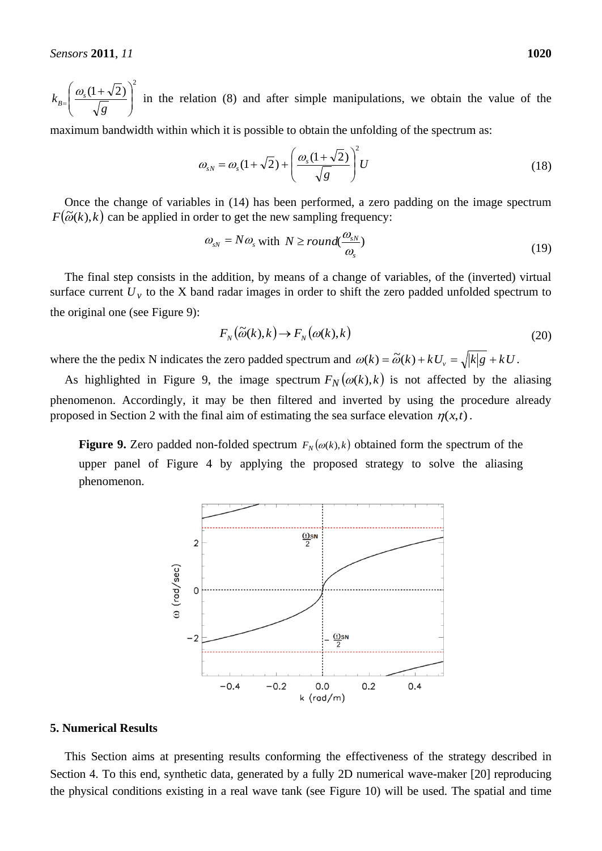2  $(1 + \sqrt{2})$  $\overline{\phantom{a}}$  $\bigg)$  $\setminus$  $\overline{\phantom{a}}$  $\setminus$  $\int \omega_{s}(1 +$  $=\begin{bmatrix} \sqrt{g} \end{bmatrix}$  $k_{B=}$   $\frac{\omega_s}{\omega}$  $\omega$ in the relation (8) and after simple manipulations, we obtain the value of the

maximum bandwidth within which it is possible to obtain the unfolding of the spectrum as:

$$
\omega_{sN} = \omega_s (1 + \sqrt{2}) + \left(\frac{\omega_s (1 + \sqrt{2})}{\sqrt{g}}\right)^2 U
$$
\n(18)

Once the change of variables in (14) has been performed, a zero padding on the image spectrum  $F(\tilde{\omega}(k),k)$  can be applied in order to get the new sampling frequency:

$$
\omega_{sN} = N\omega_s \text{ with } N \geq round(\frac{\omega_{sN}}{\omega_s})
$$
\n(19)

The final step consists in the addition, by means of a change of variables, of the (inverted) virtual surface current  $U<sub>v</sub>$  to the X band radar images in order to shift the zero padded unfolded spectrum to the original one (see Figure 9):

$$
F_N(\widetilde{\omega}(k),k) \to F_N(\omega(k),k)
$$
\n(20)

where the the pedix N indicates the zero padded spectrum and  $\omega(k) = \tilde{\omega}(k) + kU_y = \sqrt{|k|g} + kU$ .

As highlighted in Figure 9, the image spectrum  $F_N(\omega(k), k)$  is not affected by the aliasing phenomenon. Accordingly, it may be then filtered and inverted by using the procedure already proposed in Section 2 with the final aim of estimating the sea surface elevation  $\eta(x,t)$ .

**Figure 9.** Zero padded non-folded spectrum  $F_N(\omega(k), k)$  obtained form the spectrum of the upper panel of Figure 4 by applying the proposed strategy to solve the aliasing phenomenon.



# **5. Numerical Results**

This Section aims at presenting results conforming the effectiveness of the strategy described in Section 4. To this end, synthetic data, generated by a fully 2D numerical wave-maker [20] reproducing the physical conditions existing in a real wave tank (see Figure 10) will be used. The spatial and time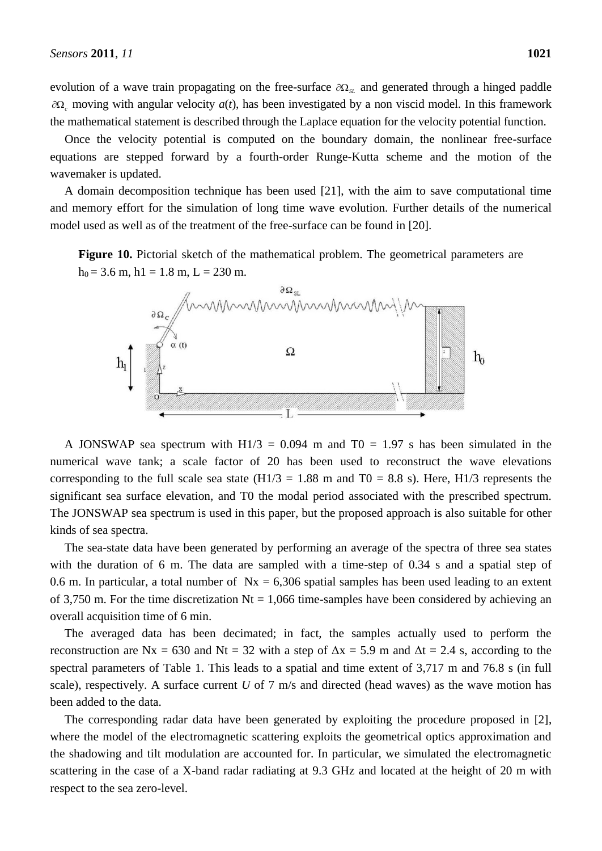evolution of a wave train propagating on the free-surface  $\partial\Omega_{SL}$  and generated through a hinged paddle  $\partial\Omega$ <sub>c</sub> moving with angular velocity  $a(t)$ , has been investigated by a non viscid model. In this framework the mathematical statement is described through the Laplace equation for the velocity potential function.

Once the velocity potential is computed on the boundary domain, the nonlinear free-surface equations are stepped forward by a fourth-order Runge-Kutta scheme and the motion of the wavemaker is updated.

A domain decomposition technique has been used [21], with the aim to save computational time and memory effort for the simulation of long time wave evolution. Further details of the numerical model used as well as of the treatment of the free-surface can be found in [20].

**Figure 10.** Pictorial sketch of the mathematical problem. The geometrical parameters are  $h_0 = 3.6$  m,  $h_1 = 1.8$  m,  $L = 230$  m.



A JONSWAP sea spectrum with  $H1/3 = 0.094$  m and T0 = 1.97 s has been simulated in the numerical wave tank; a scale factor of 20 has been used to reconstruct the wave elevations corresponding to the full scale sea state  $(H1/3 = 1.88 \text{ m and } T0 = 8.8 \text{ s})$ . Here, H1/3 represents the significant sea surface elevation, and T0 the modal period associated with the prescribed spectrum. The JONSWAP sea spectrum is used in this paper, but the proposed approach is also suitable for other kinds of sea spectra.

The sea-state data have been generated by performing an average of the spectra of three sea states with the duration of 6 m. The data are sampled with a time-step of 0.34 s and a spatial step of 0.6 m. In particular, a total number of  $Nx = 6,306$  spatial samples has been used leading to an extent of 3,750 m. For the time discretization  $Nt = 1,066$  time-samples have been considered by achieving an overall acquisition time of 6 min.

The averaged data has been decimated; in fact, the samples actually used to perform the reconstruction are Nx = 630 and Nt = 32 with a step of  $\Delta x = 5.9$  m and  $\Delta t = 2.4$  s, according to the spectral parameters of Table 1. This leads to a spatial and time extent of 3,717 m and 76.8 s (in full scale), respectively. A surface current *U* of 7 m/s and directed (head waves) as the wave motion has been added to the data.

The corresponding radar data have been generated by exploiting the procedure proposed in [2], where the model of the electromagnetic scattering exploits the geometrical optics approximation and the shadowing and tilt modulation are accounted for. In particular, we simulated the electromagnetic scattering in the case of a X-band radar radiating at 9.3 GHz and located at the height of 20 m with respect to the sea zero-level.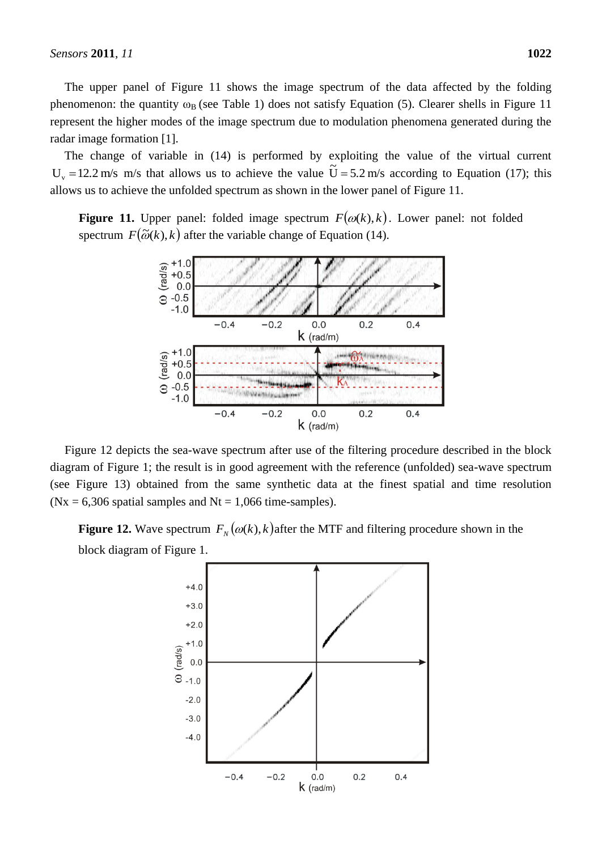The upper panel of Figure 11 shows the image spectrum of the data affected by the folding phenomenon: the quantity  $\omega_B$  (see Table 1) does not satisfy Equation (5). Clearer shells in Figure 11 represent the higher modes of the image spectrum due to modulation phenomena generated during the radar image formation [1].

The change of variable in (14) is performed by exploiting the value of the virtual current  $U_v = 12.2$  m/s m/s that allows us to achieve the value  $\tilde{U} = 5.2$  m/s according to Equation (17); this allows us to achieve the unfolded spectrum as shown in the lower panel of Figure 11.

**Figure 11.** Upper panel: folded image spectrum  $F(\omega(k), k)$ . Lower panel: not folded spectrum  $F(\tilde{\omega}(k), k)$  after the variable change of Equation (14).



Figure 12 depicts the sea-wave spectrum after use of the filtering procedure described in the block diagram of Figure 1; the result is in good agreement with the reference (unfolded) sea-wave spectrum (see Figure 13) obtained from the same synthetic data at the finest spatial and time resolution  $(Nx = 6,306$  spatial samples and Nt = 1,066 time-samples).

**Figure 12.** Wave spectrum  $F_N(\omega(k), k)$  after the MTF and filtering procedure shown in the block diagram of Figure 1.

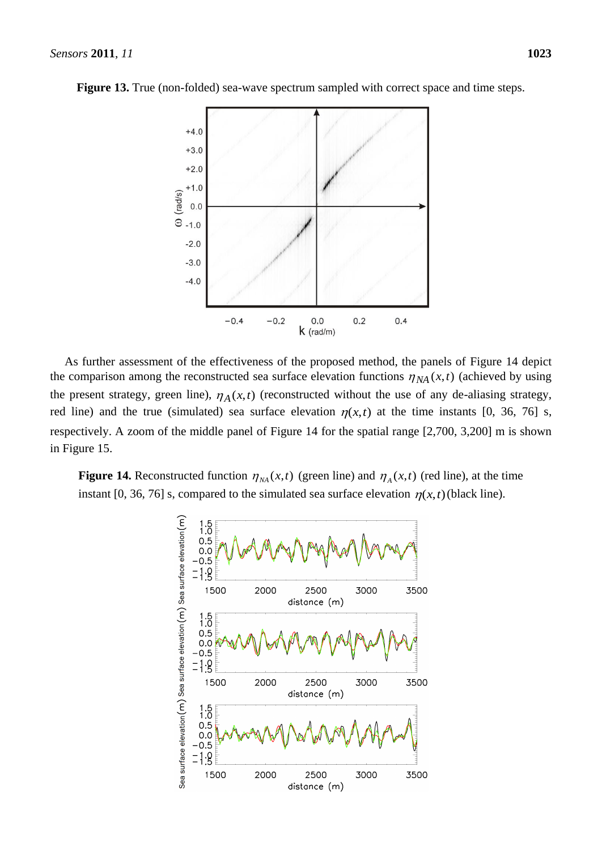



As further assessment of the effectiveness of the proposed method, the panels of Figure 14 depict the comparison among the reconstructed sea surface elevation functions  $\eta_{NA}(x, t)$  (achieved by using the present strategy, green line),  $\eta_A(x,t)$  (reconstructed without the use of any de-aliasing strategy, red line) and the true (simulated) sea surface elevation  $\eta(x,t)$  at the time instants [0, 36, 76] s, respectively. A zoom of the middle panel of Figure 14 for the spatial range [2,700, 3,200] m is shown in Figure 15.

**Figure 14.** Reconstructed function  $\eta_{NA}(x,t)$  (green line) and  $\eta_A(x,t)$  (red line), at the time instant [0, 36, 76] s, compared to the simulated sea surface elevation  $\eta(x,t)$  (black line).

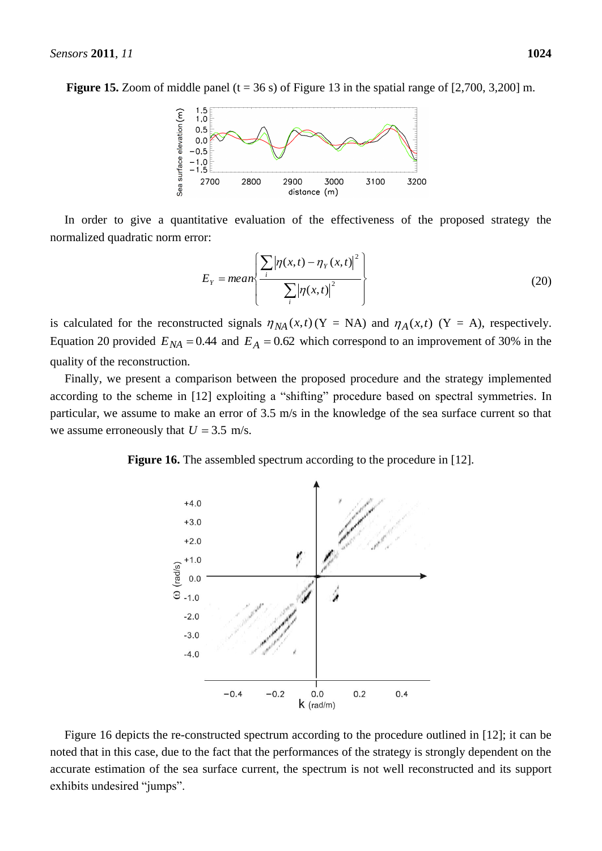

In order to give a quantitative evaluation of the effectiveness of the proposed strategy the normalized quadratic norm error:

$$
E_{Y} = mean \left\{ \frac{\sum_{i} |\eta(x,t) - \eta_{Y}(x,t)|^{2}}{\sum_{i} |\eta(x,t)|^{2}} \right\}
$$
(20)

is calculated for the reconstructed signals  $\eta_{NA}(x,t)$  (Y = NA) and  $\eta_A(x,t)$  (Y = A), respectively. Equation 20 provided  $E_{NA} = 0.44$  and  $E_A = 0.62$  which correspond to an improvement of 30% in the quality of the reconstruction.

Finally, we present a comparison between the proposed procedure and the strategy implemented according to the scheme in [12] exploiting a "shifting" procedure based on spectral symmetries. In particular, we assume to make an error of 3.5 m/s in the knowledge of the sea surface current so that we assume erroneously that  $U = 3.5$  m/s.

**Figure 16.** The assembled spectrum according to the procedure in [12].



Figure 16 depicts the re-constructed spectrum according to the procedure outlined in [12]; it can be noted that in this case, due to the fact that the performances of the strategy is strongly dependent on the accurate estimation of the sea surface current, the spectrum is not well reconstructed and its support exhibits undesired "jumps".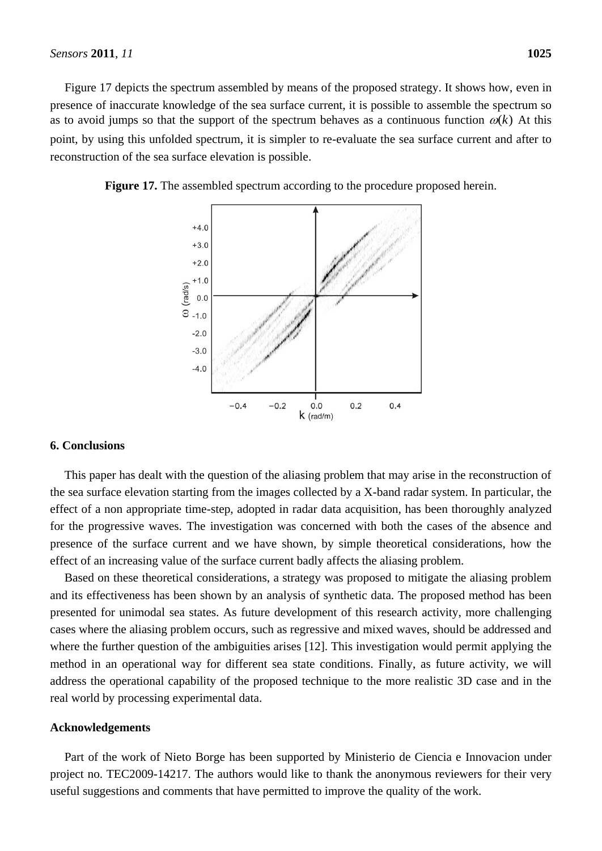Figure 17 depicts the spectrum assembled by means of the proposed strategy. It shows how, even in presence of inaccurate knowledge of the sea surface current, it is possible to assemble the spectrum so as to avoid jumps so that the support of the spectrum behaves as a continuous function  $\omega(k)$  At this point, by using this unfolded spectrum, it is simpler to re-evaluate the sea surface current and after to reconstruction of the sea surface elevation is possible.

**Figure 17.** The assembled spectrum according to the procedure proposed herein.



#### **6. Conclusions**

This paper has dealt with the question of the aliasing problem that may arise in the reconstruction of the sea surface elevation starting from the images collected by a X-band radar system. In particular, the effect of a non appropriate time-step, adopted in radar data acquisition, has been thoroughly analyzed for the progressive waves. The investigation was concerned with both the cases of the absence and presence of the surface current and we have shown, by simple theoretical considerations, how the effect of an increasing value of the surface current badly affects the aliasing problem.

Based on these theoretical considerations, a strategy was proposed to mitigate the aliasing problem and its effectiveness has been shown by an analysis of synthetic data. The proposed method has been presented for unimodal sea states. As future development of this research activity, more challenging cases where the aliasing problem occurs, such as regressive and mixed waves, should be addressed and where the further question of the ambiguities arises [12]. This investigation would permit applying the method in an operational way for different sea state conditions. Finally, as future activity, we will address the operational capability of the proposed technique to the more realistic 3D case and in the real world by processing experimental data.

# **Acknowledgements**

Part of the work of Nieto Borge has been supported by Ministerio de Ciencia e Innovacion under project no. TEC2009-14217. The authors would like to thank the anonymous reviewers for their very useful suggestions and comments that have permitted to improve the quality of the work.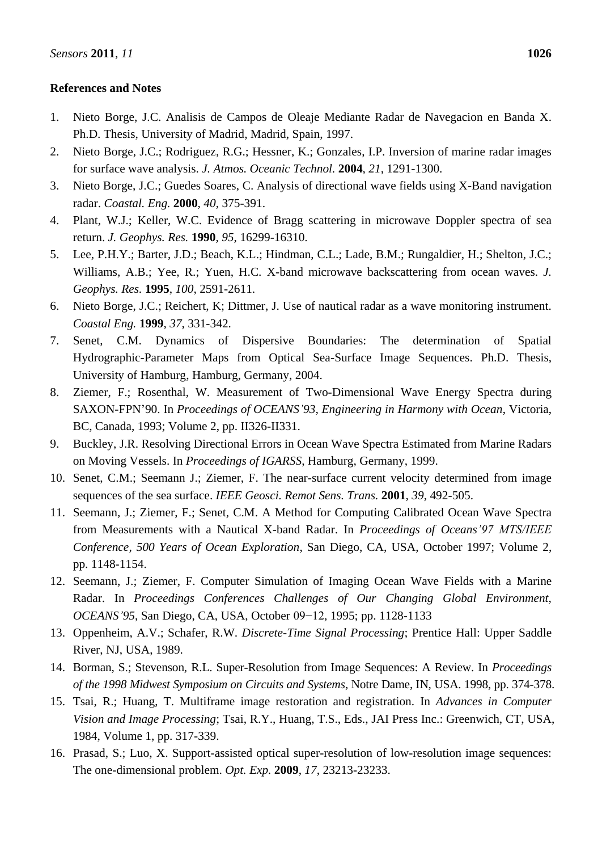# **References and Notes**

- 1. Nieto Borge, J.C. Analisis de Campos de Oleaje Mediante Radar de Navegacion en Banda X. Ph.D. Thesis, University of Madrid, Madrid, Spain, 1997.
- 2. Nieto Borge, J.C.; Rodriguez, R.G.; Hessner, K.; Gonzales, I.P. Inversion of marine radar images for surface wave analysis. *J. Atmos. Oceanic Technol.* **2004**, *21*, 1291-1300.
- 3. Nieto Borge, J.C.; Guedes Soares, C. Analysis of directional wave fields using X-Band navigation radar. *Coastal. Eng.* **2000**, *40*, 375-391.
- 4. Plant, W.J.; Keller, W.C. Evidence of Bragg scattering in microwave Doppler spectra of sea return. *J. Geophys. Res.* **1990**, *95*, 16299-16310.
- 5. Lee, P.H.Y.; Barter, J.D.; Beach, K.L.; Hindman, C.L.; Lade, B.M.; Rungaldier, H.; Shelton, J.C.; Williams, A.B.; Yee, R.; Yuen, H.C. X-band microwave backscattering from ocean waves. *J. Geophys. Res.* **1995**, *100*, 2591-2611.
- 6. Nieto Borge, J.C.; Reichert, K; Dittmer, J. Use of nautical radar as a wave monitoring instrument. *Coastal Eng.* **1999**, *37*, 331-342.
- 7. Senet, C.M. Dynamics of Dispersive Boundaries: The determination of Spatial Hydrographic-Parameter Maps from Optical Sea-Surface Image Sequences. Ph.D. Thesis, University of Hamburg, Hamburg, Germany, 2004.
- 8. Ziemer, F.; Rosenthal, W. Measurement of Two-Dimensional Wave Energy Spectra during SAXON-FPN"90. In *Proceedings of OCEANS'93, Engineering in Harmony with Ocean*, Victoria, BC, Canada, 1993; Volume 2, pp. II326-II331.
- 9. Buckley, J.R. Resolving Directional Errors in Ocean Wave Spectra Estimated from Marine Radars on Moving Vessels. In *Proceedings of IGARSS*, Hamburg, Germany, 1999.
- 10. Senet, C.M.; Seemann J.; Ziemer, F. The near-surface current velocity determined from image sequences of the sea surface. *IEEE Geosci. Remot Sens. Trans.* **2001**, *39*, 492-505.
- 11. Seemann, J.; Ziemer, F.; Senet, C.M. A Method for Computing Calibrated Ocean Wave Spectra from Measurements with a Nautical X-band Radar. In *Proceedings of Oceans'97 MTS/IEEE Conference, 500 Years of Ocean Exploration*, San Diego, CA, USA, October 1997; Volume 2, pp. 1148-1154.
- 12. Seemann, J.; Ziemer, F. Computer Simulation of Imaging Ocean Wave Fields with a Marine Radar. In *Proceedings Conferences [Challenges of Our Changing Global Environment,](http://ieeexplore.ieee.org/xpl/mostRecentIssue.jsp?punumber=4054)  [OCEANS'95](http://ieeexplore.ieee.org/xpl/mostRecentIssue.jsp?punumber=4054)*, San Diego, CA, USA, October 09−12, 1995; pp. 1128-1133
- 13. Oppenheim, A.V.; Schafer, R.W. *Discrete-Time Signal Processing*; Prentice Hall: Upper Saddle River, NJ, USA, 1989.
- 14. Borman, S.; Stevenson, R.L. Super-Resolution from Image Sequences: A Review. In *Proceedings of the 1998 Midwest Symposium on Circuits and Systems*, Notre Dame, IN, USA. 1998, pp. 374-378.
- 15. Tsai, R.; Huang, T. Multiframe image restoration and registration. In *Advances in Computer Vision and Image Processing*; Tsai, R.Y., Huang, T.S., Eds., JAI Press Inc.: Greenwich, CT, USA, 1984, Volume 1, pp. 317-339.
- 16. Prasad, S.; Luo, X. Support-assisted optical super-resolution of low-resolution image sequences: The one-dimensional problem. *Opt. Exp.* **2009**, *17*, 23213-23233.